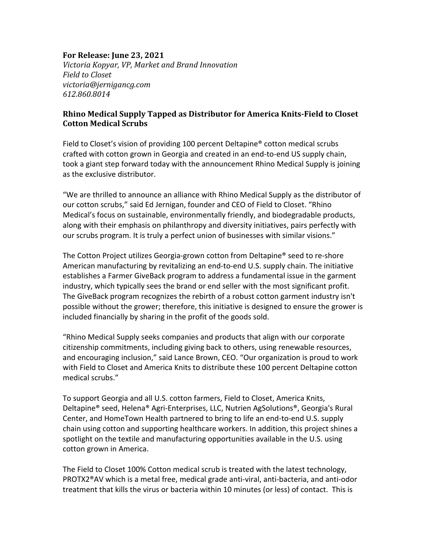## **For Release: June 23, 2021**

*Victoria Kopyar, VP, Market and Brand Innovation Field to Closet victoria@jernigancg.com 612.860.8014*

## **Rhino Medical Supply Tapped as Distributor for America Knits-Field to Closet Cotton Medical Scrubs**

Field to Closet's vision of providing 100 percent Deltapine® cotton medical scrubs crafted with cotton grown in Georgia and created in an end-to-end US supply chain, took a giant step forward today with the announcement Rhino Medical Supply is joining as the exclusive distributor.

"We are thrilled to announce an alliance with Rhino Medical Supply as the distributor of our cotton scrubs," said Ed Jernigan, founder and CEO of Field to Closet. "Rhino Medical's focus on sustainable, environmentally friendly, and biodegradable products, along with their emphasis on philanthropy and diversity initiatives, pairs perfectly with our scrubs program. It is truly a perfect union of businesses with similar visions."

The Cotton Project utilizes Georgia-grown cotton from Deltapine® seed to re-shore American manufacturing by revitalizing an end-to-end U.S. supply chain. The initiative establishes a Farmer GiveBack program to address a fundamental issue in the garment industry, which typically sees the brand or end seller with the most significant profit. The GiveBack program recognizes the rebirth of a robust cotton garment industry isn't possible without the grower; therefore, this initiative is designed to ensure the grower is included financially by sharing in the profit of the goods sold.

"Rhino Medical Supply seeks companies and products that align with our corporate citizenship commitments, including giving back to others, using renewable resources, and encouraging inclusion," said Lance Brown, CEO. "Our organization is proud to work with Field to Closet and America Knits to distribute these 100 percent Deltapine cotton medical scrubs."

To support Georgia and all U.S. cotton farmers, Field to Closet, America Knits, Deltapine® seed, Helena® Agri-Enterprises, LLC, Nutrien AgSolutions®, Georgia's Rural Center, and HomeTown Health partnered to bring to life an end-to-end U.S. supply chain using cotton and supporting healthcare workers. In addition, this project shines a spotlight on the textile and manufacturing opportunities available in the U.S. using cotton grown in America.

The Field to Closet 100% Cotton medical scrub is treated with the latest technology, PROTX2®AV which is a metal free, medical grade anti-viral, anti-bacteria, and anti-odor treatment that kills the virus or bacteria within 10 minutes (or less) of contact. This is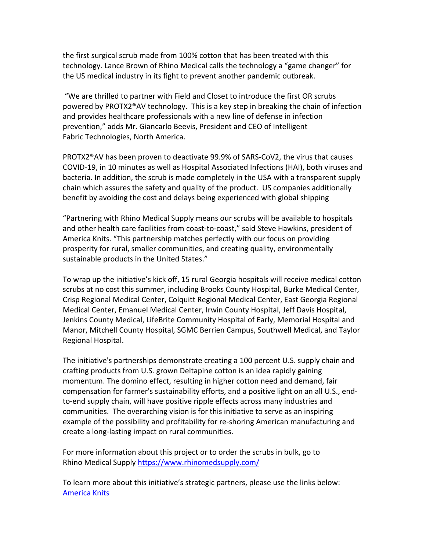the first surgical scrub made from 100% cotton that has been treated with this technology. Lance Brown of Rhino Medical calls the technology a "game changer" for the US medical industry in its fight to prevent another pandemic outbreak.

"We are thrilled to partner with Field and Closet to introduce the first OR scrubs powered by PROTX2®AV technology. This is a key step in breaking the chain of infection and provides healthcare professionals with a new line of defense in infection prevention," adds Mr. Giancarlo Beevis, President and CEO of Intelligent Fabric Technologies, North America.

PROTX2®AV has been proven to deactivate 99.9% of SARS-CoV2, the virus that causes COVID-19, in 10 minutes as well as Hospital Associated Infections (HAI), both viruses and bacteria. In addition, the scrub is made completely in the USA with a transparent supply chain which assures the safety and quality of the product. US companies additionally benefit by avoiding the cost and delays being experienced with global shipping

"Partnering with Rhino Medical Supply means our scrubs will be available to hospitals and other health care facilities from coast-to-coast," said Steve Hawkins, president of America Knits. "This partnership matches perfectly with our focus on providing prosperity for rural, smaller communities, and creating quality, environmentally sustainable products in the United States."

To wrap up the initiative's kick off, 15 rural Georgia hospitals will receive medical cotton scrubs at no cost this summer, including Brooks County Hospital, Burke Medical Center, Crisp Regional Medical Center, Colquitt Regional Medical Center, East Georgia Regional Medical Center, Emanuel Medical Center, Irwin County Hospital, Jeff Davis Hospital, Jenkins County Medical, LifeBrite Community Hospital of Early, Memorial Hospital and Manor, Mitchell County Hospital, SGMC Berrien Campus, Southwell Medical, and Taylor Regional Hospital.

The initiative's partnerships demonstrate creating a 100 percent U.S. supply chain and crafting products from U.S. grown Deltapine cotton is an idea rapidly gaining momentum. The domino effect, resulting in higher cotton need and demand, fair compensation for farmer's sustainability efforts, and a positive light on an all U.S., endto-end supply chain, will have positive ripple effects across many industries and communities. The overarching vision is for this initiative to serve as an inspiring example of the possibility and profitability for re-shoring American manufacturing and create a long-lasting impact on rural communities.

For more information about this project or to order the scrubs in bulk, go to Rhino Medical Supply https://www.rhinomedsupply.com/

To learn more about this initiative's strategic partners, please use the links below: America Knits